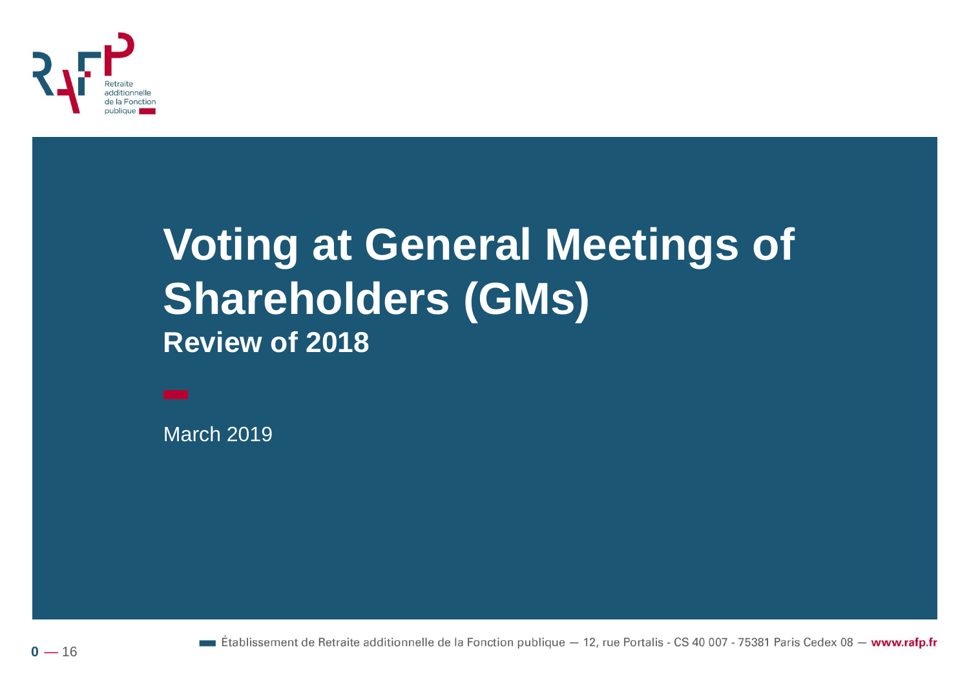

### **Voting at General Meetings of Shareholders (GMs) Review of 2018**

March 2019

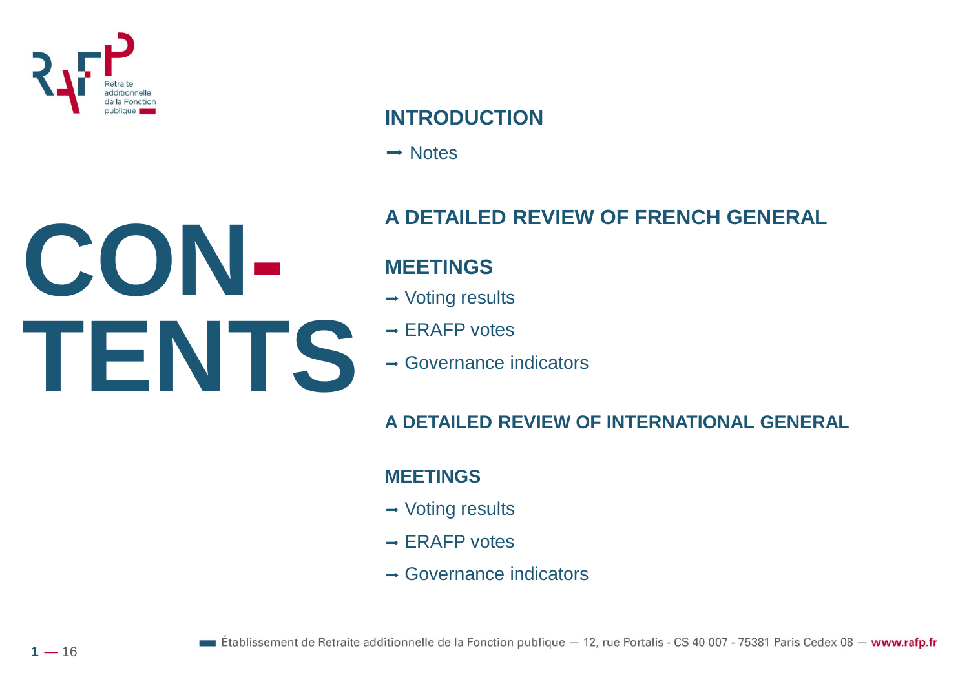

#### **INTRODUCTION**

 $\rightarrow$  Notes

#### **A DETAILED REVIEW OF FRENCH GENERAL**

#### **MEETINGS**

- $\rightarrow$  Voting results
- $\rightarrow$  ERAFP votes
- $\rightarrow$  Governance indicators

#### **A DETAILED REVIEW OF INTERNATIONAL GENERAL**

#### **MEETINGS**

- $\rightarrow$  Voting results
- $\rightarrow$  ERAFP votes
- $\rightarrow$  Governance indicators

# **CON-TENTS**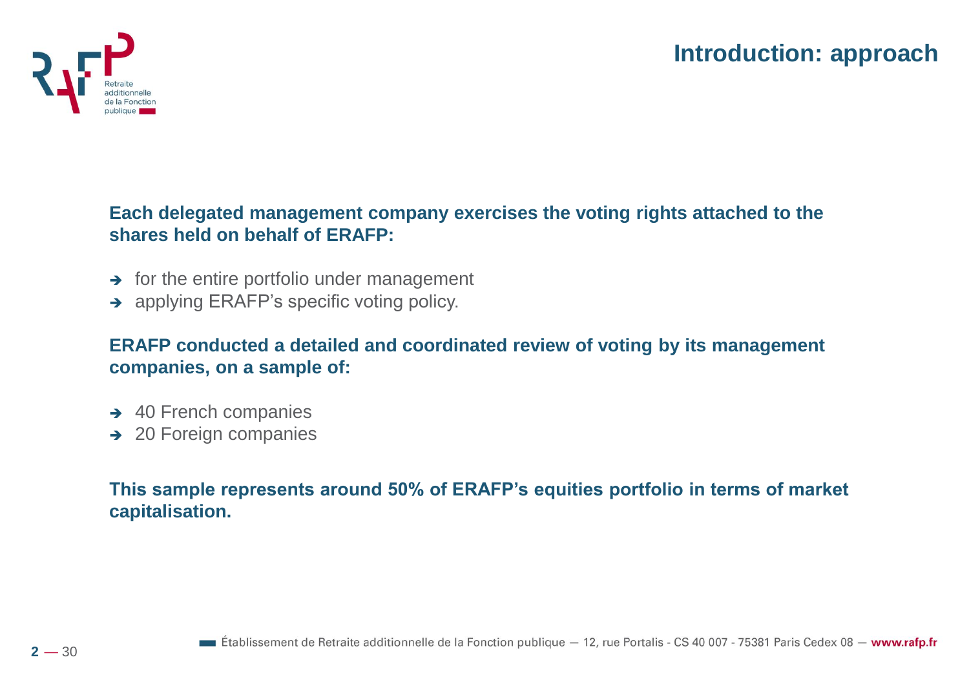

**Each delegated management company exercises the voting rights attached to the shares held on behalf of ERAFP:** 

- **→** for the entire portfolio under management
- **→** applying ERAFP's specific voting policy.

**ERAFP conducted a detailed and coordinated review of voting by its management companies, on a sample of:**

- **→ 40 French companies**
- ➔ 20 Foreign companies

**This sample represents around 50% of ERAFP's equities portfolio in terms of market capitalisation.**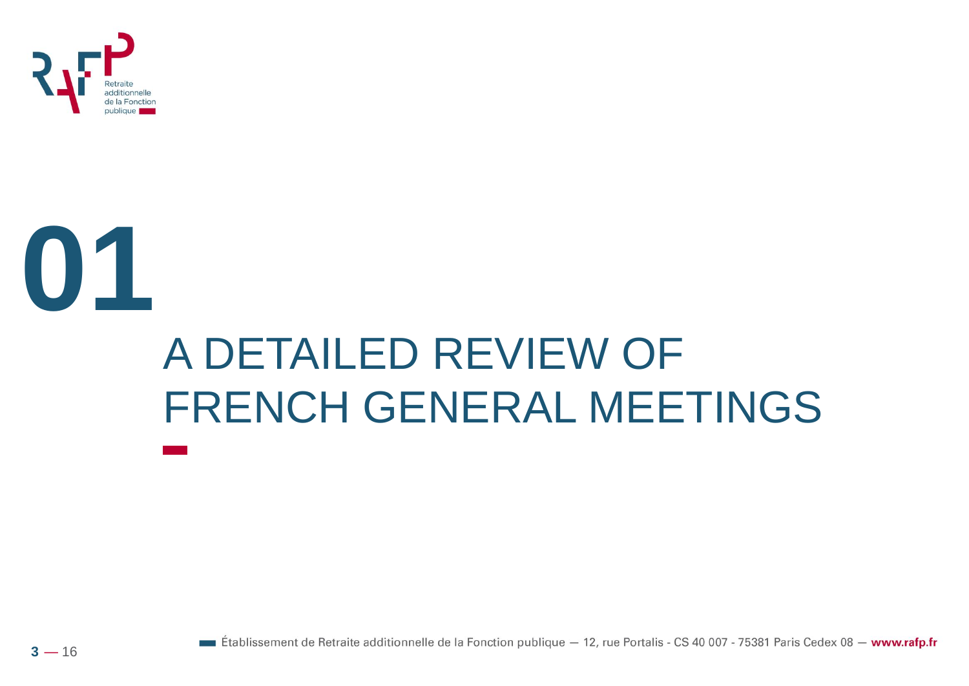

# **01** A DETAILED REVIEW OF FRENCH GENERAL MEETINGS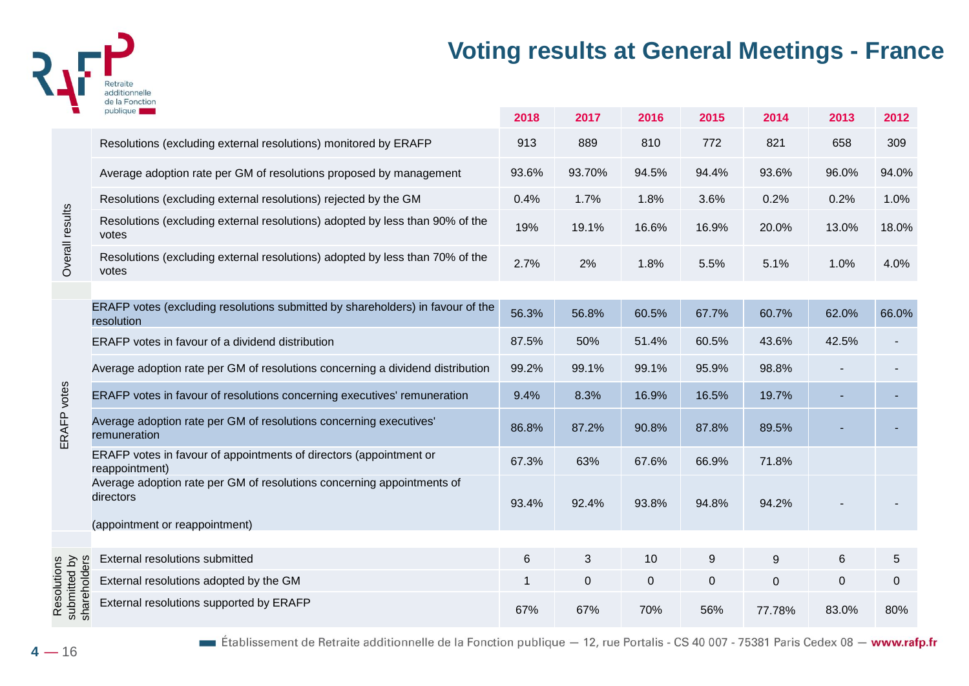

#### **Voting results at General Meetings - France**

|                                             | publique                                                                                     | 2018  | 2017        | 2016        | 2015  | 2014        | 2013        | 2012  |
|---------------------------------------------|----------------------------------------------------------------------------------------------|-------|-------------|-------------|-------|-------------|-------------|-------|
| Overall results                             | Resolutions (excluding external resolutions) monitored by ERAFP                              | 913   | 889         | 810         | 772   | 821         | 658         | 309   |
|                                             | Average adoption rate per GM of resolutions proposed by management                           | 93.6% | 93.70%      | 94.5%       | 94.4% | 93.6%       | 96.0%       | 94.0% |
|                                             | Resolutions (excluding external resolutions) rejected by the GM                              | 0.4%  | 1.7%        | 1.8%        | 3.6%  | 0.2%        | 0.2%        | 1.0%  |
|                                             | Resolutions (excluding external resolutions) adopted by less than 90% of the<br>votes        | 19%   | 19.1%       | 16.6%       | 16.9% | 20.0%       | 13.0%       | 18.0% |
|                                             | Resolutions (excluding external resolutions) adopted by less than 70% of the<br>votes        | 2.7%  | 2%          | 1.8%        | 5.5%  | 5.1%        | 1.0%        | 4.0%  |
|                                             |                                                                                              |       |             |             |       |             |             |       |
|                                             | ERAFP votes (excluding resolutions submitted by shareholders) in favour of the<br>resolution | 56.3% | 56.8%       | 60.5%       | 67.7% | 60.7%       | 62.0%       | 66.0% |
|                                             | ERAFP votes in favour of a dividend distribution                                             | 87.5% | 50%         | 51.4%       | 60.5% | 43.6%       | 42.5%       |       |
|                                             | Average adoption rate per GM of resolutions concerning a dividend distribution               | 99.2% | 99.1%       | 99.1%       | 95.9% | 98.8%       |             |       |
| votes                                       | ERAFP votes in favour of resolutions concerning executives' remuneration                     | 9.4%  | 8.3%        | 16.9%       | 16.5% | 19.7%       |             |       |
| ERAFP                                       | Average adoption rate per GM of resolutions concerning executives'<br>remuneration           | 86.8% | 87.2%       | 90.8%       | 87.8% | 89.5%       |             |       |
|                                             | ERAFP votes in favour of appointments of directors (appointment or<br>reappointment)         | 67.3% | 63%         | 67.6%       | 66.9% | 71.8%       |             |       |
|                                             | Average adoption rate per GM of resolutions concerning appointments of<br>directors          | 93.4% | 92.4%       | 93.8%       | 94.8% | 94.2%       |             |       |
|                                             | (appointment or reappointment)                                                               |       |             |             |       |             |             |       |
| Resolutions<br>submitted by<br>shareholders | External resolutions submitted                                                               | 6     | 3           | 10          | 9     | $9\,$       | 6           | 5     |
|                                             | External resolutions adopted by the GM                                                       | 1     | $\mathbf 0$ | $\mathbf 0$ | 0     | $\mathbf 0$ | $\mathbf 0$ | 0     |
|                                             |                                                                                              |       |             |             |       |             |             |       |
|                                             | External resolutions supported by ERAFP                                                      | 67%   | 67%         | 70%         | 56%   | 77.78%      | 83.0%       | 80%   |

Etablissement de Retraite additionnelle de la Fonction publique - 12, rue Portalis - CS 40 007 - 75381 Paris Cedex 08 - www.rafp.fr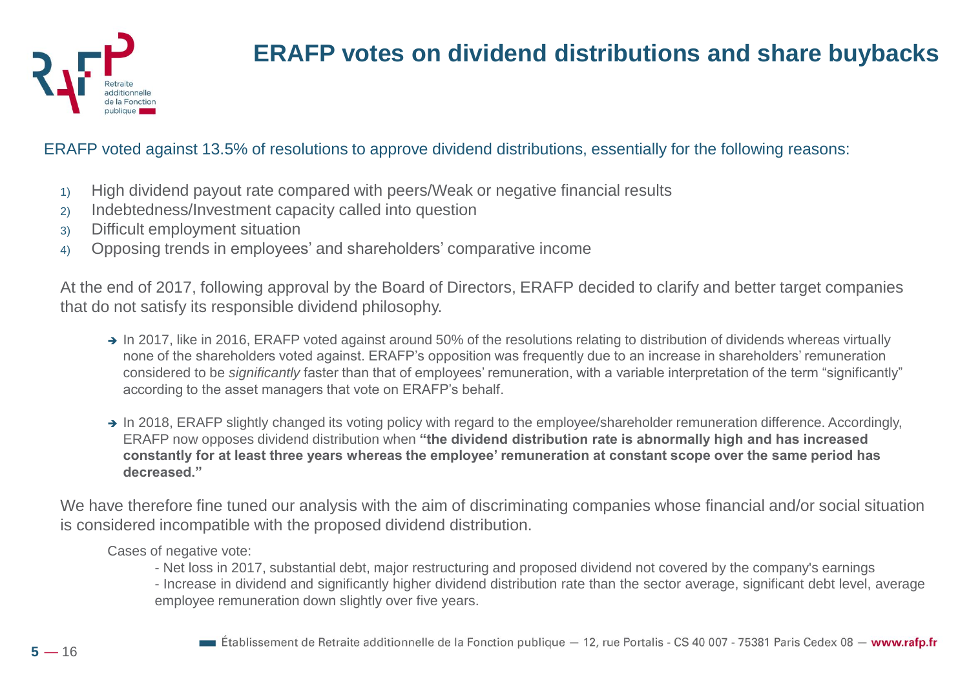

#### **ERAFP votes on dividend distributions and share buybacks**

#### ERAFP voted against 13.5% of resolutions to approve dividend distributions, essentially for the following reasons:

- 1) High dividend payout rate compared with peers/Weak or negative financial results
- 2) Indebtedness/Investment capacity called into question
- 3) Difficult employment situation
- 4) Opposing trends in employees' and shareholders' comparative income

At the end of 2017, following approval by the Board of Directors, ERAFP decided to clarify and better target companies that do not satisfy its responsible dividend philosophy.

- → In 2017, like in 2016, ERAFP voted against around 50% of the resolutions relating to distribution of dividends whereas virtually none of the shareholders voted against. ERAFP's opposition was frequently due to an increase in shareholders' remuneration considered to be *significantly* faster than that of employees' remuneration, with a variable interpretation of the term "significantly" according to the asset managers that vote on ERAFP's behalf.
- → In 2018, ERAFP slightly changed its voting policy with regard to the employee/shareholder remuneration difference. Accordingly, ERAFP now opposes dividend distribution when **"the dividend distribution rate is abnormally high and has increased constantly for at least three years whereas the employee' remuneration at constant scope over the same period has decreased."**

We have therefore fine tuned our analysis with the aim of discriminating companies whose financial and/or social situation is considered incompatible with the proposed dividend distribution.

Cases of negative vote:

- Net loss in 2017, substantial debt, major restructuring and proposed dividend not covered by the company's earnings

- Increase in dividend and significantly higher dividend distribution rate than the sector average, significant debt level, average employee remuneration down slightly over five years.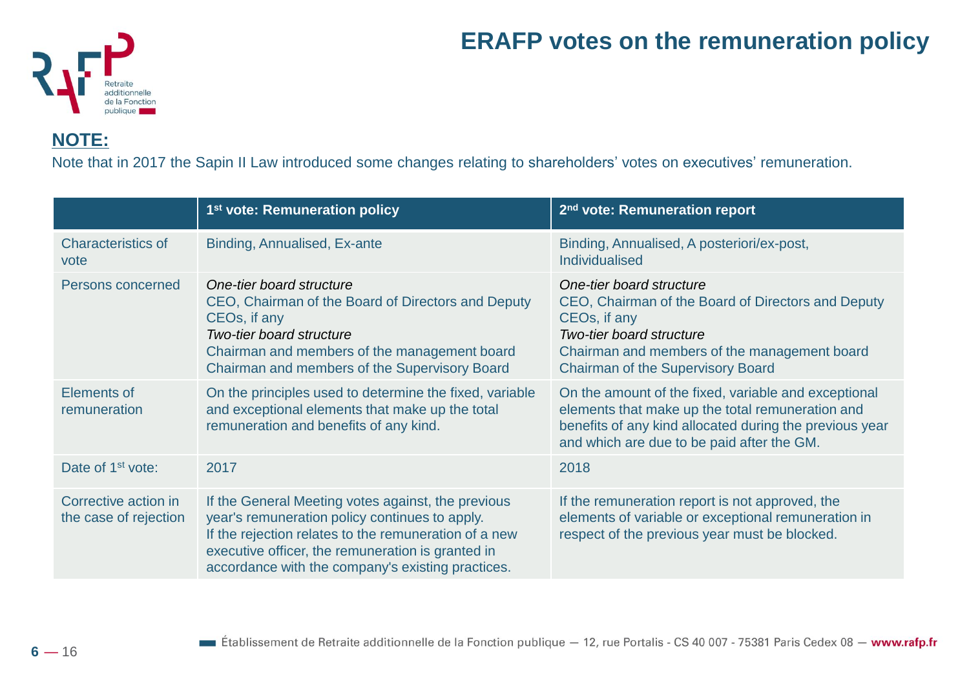

#### **ERAFP votes on the remuneration policy**

**NOTE:**

Note that in 2017 the Sapin II Law introduced some changes relating to shareholders' votes on executives' remuneration.

|                                               | 1 <sup>st</sup> vote: Remuneration policy                                                                                                                                                                                                                               | 2 <sup>nd</sup> vote: Remuneration report                                                                                                                                                                                     |
|-----------------------------------------------|-------------------------------------------------------------------------------------------------------------------------------------------------------------------------------------------------------------------------------------------------------------------------|-------------------------------------------------------------------------------------------------------------------------------------------------------------------------------------------------------------------------------|
| <b>Characteristics of</b><br>vote             | Binding, Annualised, Ex-ante                                                                                                                                                                                                                                            | Binding, Annualised, A posteriori/ex-post,<br><b>Individualised</b>                                                                                                                                                           |
| Persons concerned                             | One-tier board structure<br>CEO, Chairman of the Board of Directors and Deputy<br>CEOs, if any<br><b>Two-tier board structure</b><br>Chairman and members of the management board<br>Chairman and members of the Supervisory Board                                      | One-tier board structure<br>CEO, Chairman of the Board of Directors and Deputy<br>CEOs, if any<br><b>Two-tier board structure</b><br>Chairman and members of the management board<br><b>Chairman of the Supervisory Board</b> |
| Elements of<br>remuneration                   | On the principles used to determine the fixed, variable<br>and exceptional elements that make up the total<br>remuneration and benefits of any kind.                                                                                                                    | On the amount of the fixed, variable and exceptional<br>elements that make up the total remuneration and<br>benefits of any kind allocated during the previous year<br>and which are due to be paid after the GM.             |
| Date of 1 <sup>st</sup> vote:                 | 2017                                                                                                                                                                                                                                                                    | 2018                                                                                                                                                                                                                          |
| Corrective action in<br>the case of rejection | If the General Meeting votes against, the previous<br>year's remuneration policy continues to apply.<br>If the rejection relates to the remuneration of a new<br>executive officer, the remuneration is granted in<br>accordance with the company's existing practices. | If the remuneration report is not approved, the<br>elements of variable or exceptional remuneration in<br>respect of the previous year must be blocked.                                                                       |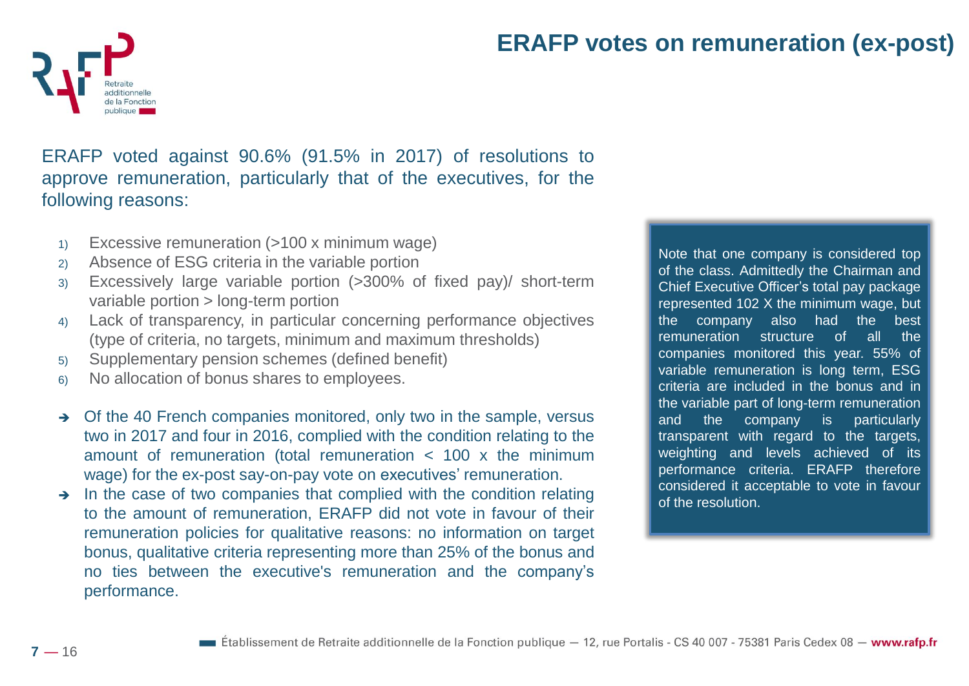

#### **ERAFP votes on remuneration (ex-post)**

ERAFP voted against 90.6% (91.5% in 2017) of resolutions to approve remuneration, particularly that of the executives, for the following reasons:

- 1) Excessive remuneration (>100 x minimum wage)
- 2) Absence of ESG criteria in the variable portion
- 3) Excessively large variable portion (>300% of fixed pay)/ short-term variable portion > long-term portion
- 4) Lack of transparency, in particular concerning performance objectives (type of criteria, no targets, minimum and maximum thresholds)
- 5) Supplementary pension schemes (defined benefit)
- 6) No allocation of bonus shares to employees.
- ➔ Of the 40 French companies monitored, only two in the sample, versus two in 2017 and four in 2016, complied with the condition relating to the amount of remuneration (total remuneration < 100 x the minimum wage) for the ex-post say-on-pay vote on executives' remuneration.
- In the case of two companies that complied with the condition relating to the amount of remuneration, ERAFP did not vote in favour of their remuneration policies for qualitative reasons: no information on target bonus, qualitative criteria representing more than 25% of the bonus and no ties between the executive's remuneration and the company's performance.

Note that one company is considered top of the class. Admittedly the Chairman and Chief Executive Officer's total pay package represented 102 X the minimum wage, but the company also had the best remuneration structure of all the companies monitored this year. 55% of variable remuneration is long term, ESG criteria are included in the bonus and in the variable part of long-term remuneration and the company is particularly transparent with regard to the targets, weighting and levels achieved of its performance criteria. ERAFP therefore considered it acceptable to vote in favour of the resolution.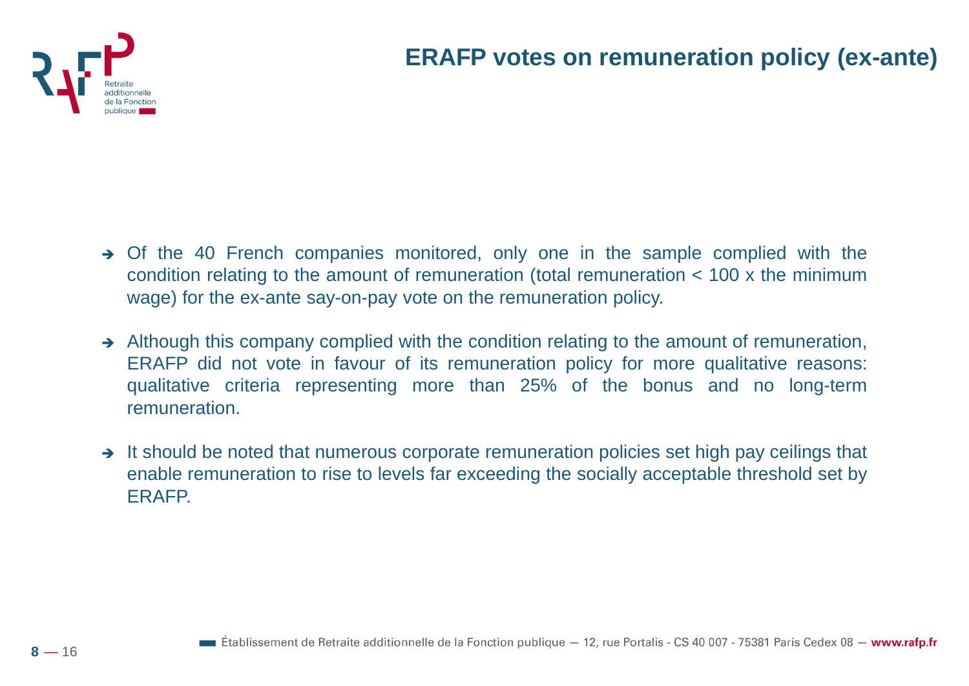

- ➔ Of the 40 French companies monitored, only one in the sample complied with the condition relating to the amount of remuneration (total remuneration < 100 x the minimum wage) for the ex-ante say-on-pay vote on the remuneration policy.
- → Although this company complied with the condition relating to the amount of remuneration, ERAFP did not vote in favour of its remuneration policy for more qualitative reasons: qualitative criteria representing more than 25% of the bonus and no long-term remuneration.
- → It should be noted that numerous corporate remuneration policies set high pay ceilings that enable remuneration to rise to levels far exceeding the socially acceptable threshold set by ERAFP.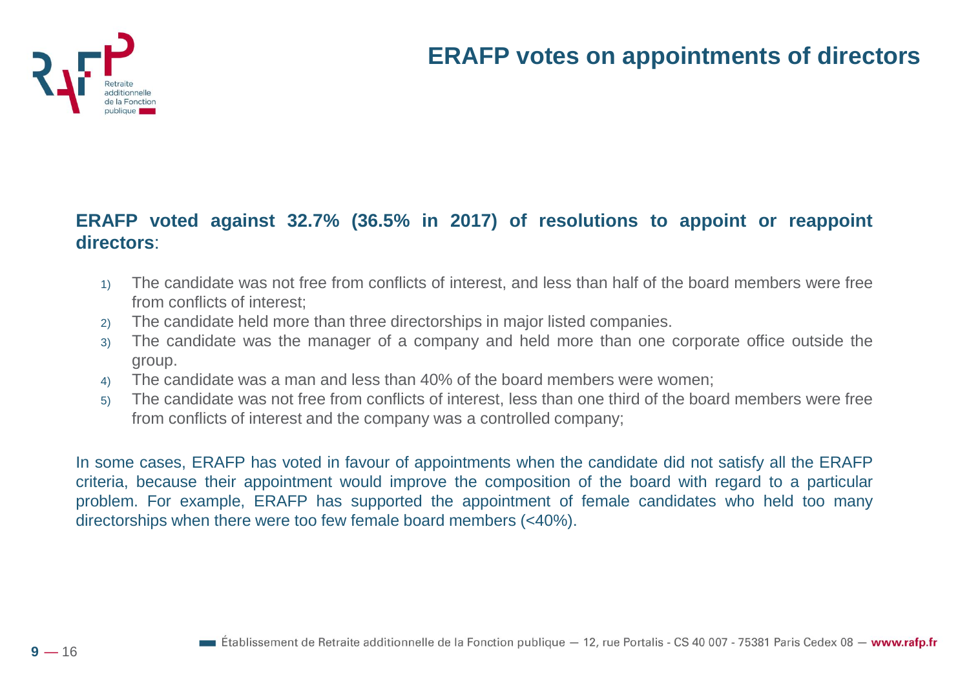

#### **ERAFP voted against 32.7% (36.5% in 2017) of resolutions to appoint or reappoint directors**:

- 1) The candidate was not free from conflicts of interest, and less than half of the board members were free from conflicts of interest;
- 2) The candidate held more than three directorships in major listed companies.
- 3) The candidate was the manager of a company and held more than one corporate office outside the group.
- 4) The candidate was a man and less than 40% of the board members were women;
- 5) The candidate was not free from conflicts of interest, less than one third of the board members were free from conflicts of interest and the company was a controlled company;

In some cases, ERAFP has voted in favour of appointments when the candidate did not satisfy all the ERAFP criteria, because their appointment would improve the composition of the board with regard to a particular problem. For example, ERAFP has supported the appointment of female candidates who held too many directorships when there were too few female board members (<40%).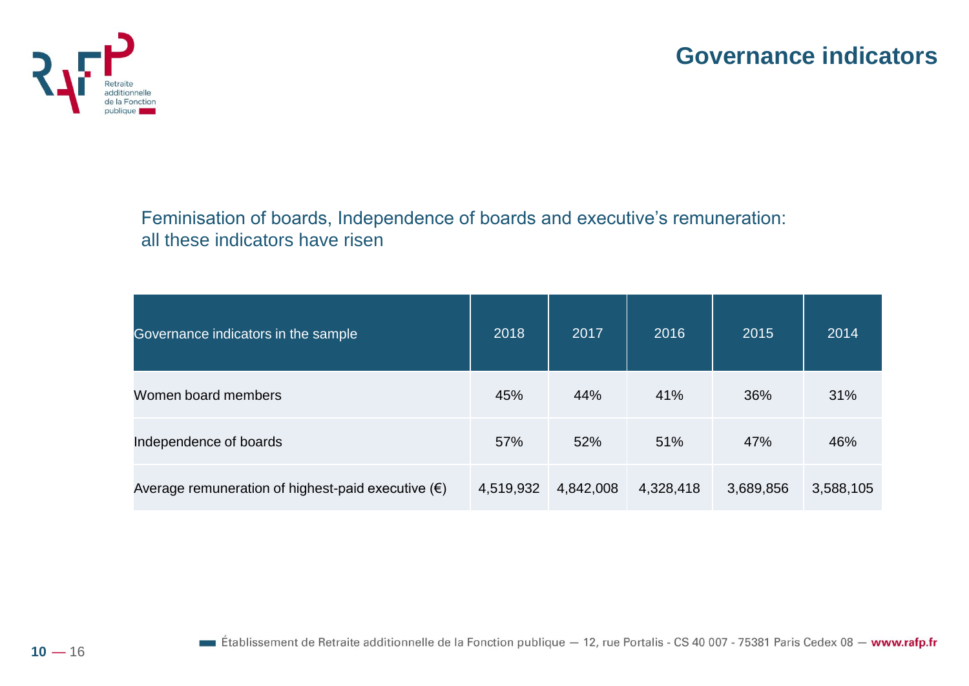



Feminisation of boards, Independence of boards and executive's remuneration: all these indicators have risen

| Governance indicators in the sample                         | 2018      | 2017      | 2016      | 2015      | 2014      |
|-------------------------------------------------------------|-----------|-----------|-----------|-----------|-----------|
| Women board members                                         | 45%       | 44%       | 41%       | 36%       | 31%       |
| Independence of boards                                      | 57%       | 52%       | 51%       | 47%       | 46%       |
| Average remuneration of highest-paid executive $(\epsilon)$ | 4,519,932 | 4,842,008 | 4,328,418 | 3,689,856 | 3,588,105 |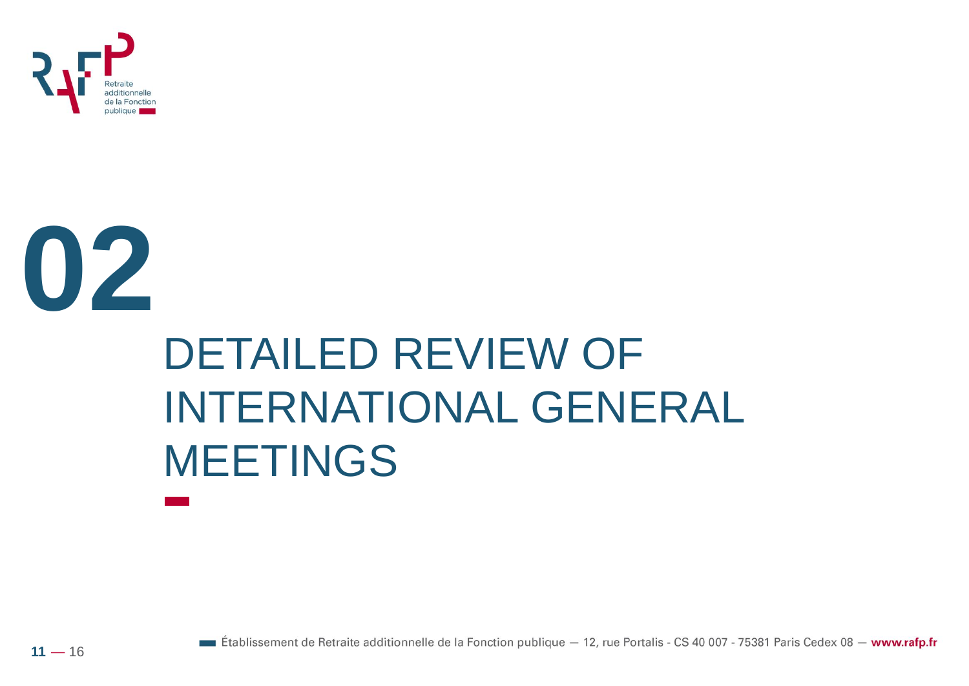



## DETAILED REVIEW OF INTERNATIONAL GENERAL MEETINGS

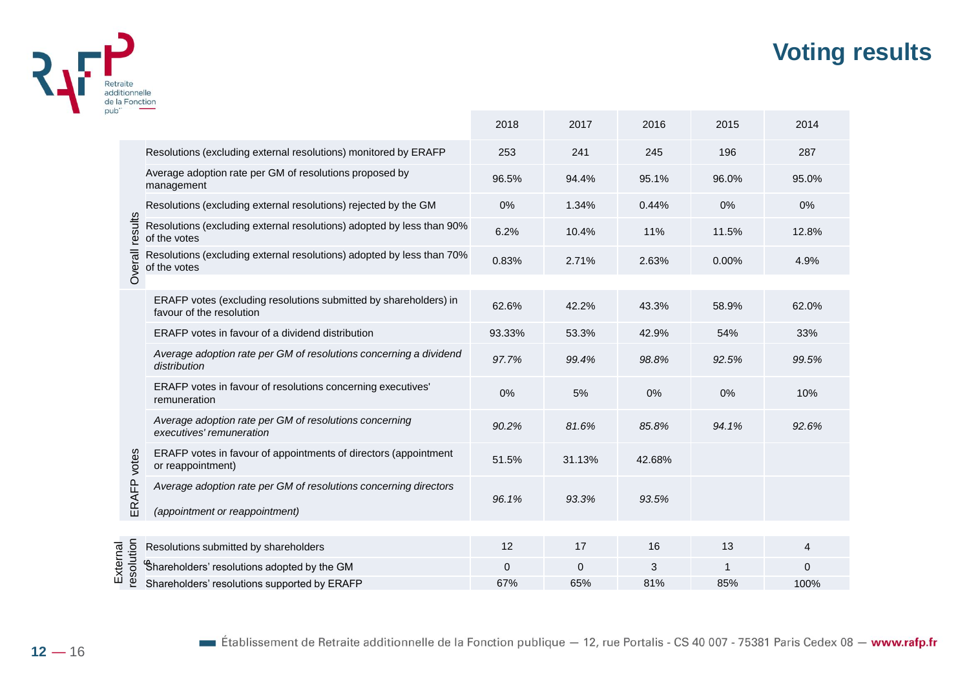#### **Voting results**



|                                                                |                                                                                                    | 2018   | 2017     | 2016   | 2015  | 2014     |
|----------------------------------------------------------------|----------------------------------------------------------------------------------------------------|--------|----------|--------|-------|----------|
|                                                                | Resolutions (excluding external resolutions) monitored by ERAFP                                    | 253    | 241      | 245    | 196   | 287      |
|                                                                | Average adoption rate per GM of resolutions proposed by<br>management                              | 96.5%  | 94.4%    | 95.1%  | 96.0% | 95.0%    |
|                                                                | Resolutions (excluding external resolutions) rejected by the GM                                    | 0%     | 1.34%    | 0.44%  | 0%    | 0%       |
|                                                                | Resolutions (excluding external resolutions) adopted by less than 90%<br>of the votes              | 6.2%   | 10.4%    | 11%    | 11.5% | 12.8%    |
|                                                                | Resolutions (excluding external resolutions) adopted by less than 70%<br>of the votes              | 0.83%  | 2.71%    | 2.63%  | 0.00% | 4.9%     |
|                                                                |                                                                                                    |        |          |        |       |          |
|                                                                | ERAFP votes (excluding resolutions submitted by shareholders) in<br>favour of the resolution       | 62.6%  | 42.2%    | 43.3%  | 58.9% | 62.0%    |
|                                                                | ERAFP votes in favour of a dividend distribution                                                   | 93.33% | 53.3%    | 42.9%  | 54%   | 33%      |
|                                                                | Average adoption rate per GM of resolutions concerning a dividend<br>distribution                  | 97.7%  | 99.4%    | 98.8%  | 92.5% | 99.5%    |
|                                                                | ERAFP votes in favour of resolutions concerning executives'<br>remuneration                        | 0%     | 5%       | 0%     | 0%    | 10%      |
|                                                                | Average adoption rate per GM of resolutions concerning<br>executives' remuneration                 | 90.2%  | 81.6%    | 85.8%  | 94.1% | 92.6%    |
|                                                                | ERAFP votes in favour of appointments of directors (appointment<br>or reappointment)               | 51.5%  | 31.13%   | 42.68% |       |          |
|                                                                | Average adoption rate per GM of resolutions concerning directors<br>(appointment or reappointment) | 96.1%  | 93.3%    | 93.5%  |       |          |
|                                                                |                                                                                                    |        |          |        |       |          |
|                                                                | Resolutions submitted by shareholders                                                              | 12     | 17       | 16     | 13    | 4        |
| results<br>Overall<br>votes<br>ERAFP<br>resolution<br>External | Shareholders' resolutions adopted by the GM                                                        | 0      | $\Omega$ | 3      | -1    | $\Omega$ |
|                                                                | Shareholders' resolutions supported by ERAFP                                                       | 67%    | 65%      | 81%    | 85%   | 100%     |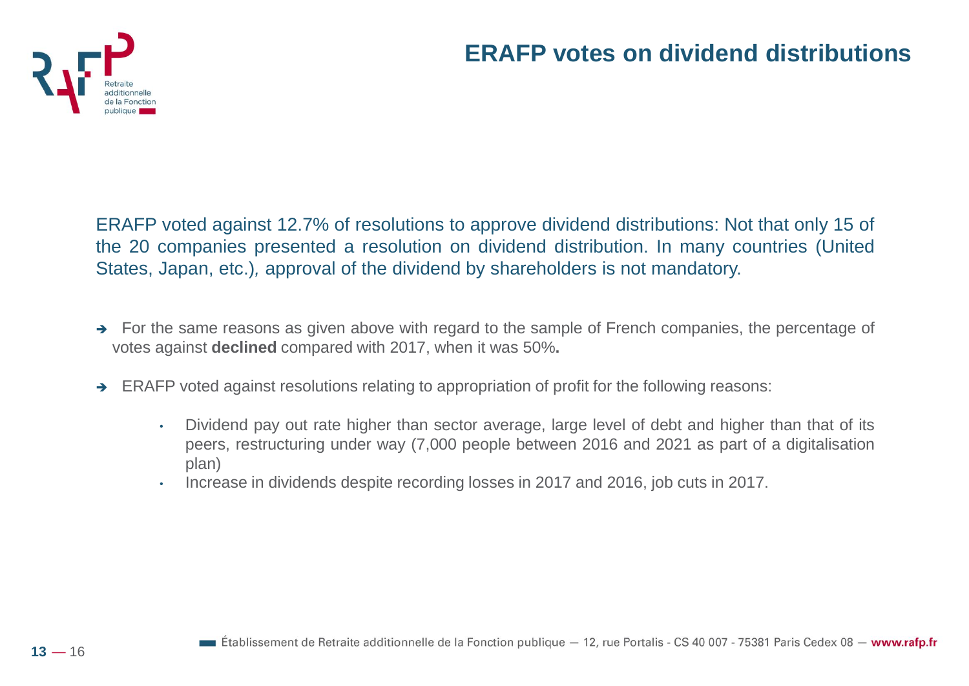

#### **ERAFP votes on dividend distributions**

ERAFP voted against 12.7% of resolutions to approve dividend distributions: Not that only 15 of the 20 companies presented a resolution on dividend distribution. In many countries (United States, Japan, etc.)*,* approval of the dividend by shareholders is not mandatory.

- ➔ For the same reasons as given above with regard to the sample of French companies, the percentage of votes against **declined** compared with 2017, when it was 50%**.**
- ➔ ERAFP voted against resolutions relating to appropriation of profit for the following reasons:
	- Dividend pay out rate higher than sector average, large level of debt and higher than that of its peers, restructuring under way (7,000 people between 2016 and 2021 as part of a digitalisation plan)
	- Increase in dividends despite recording losses in 2017 and 2016, job cuts in 2017.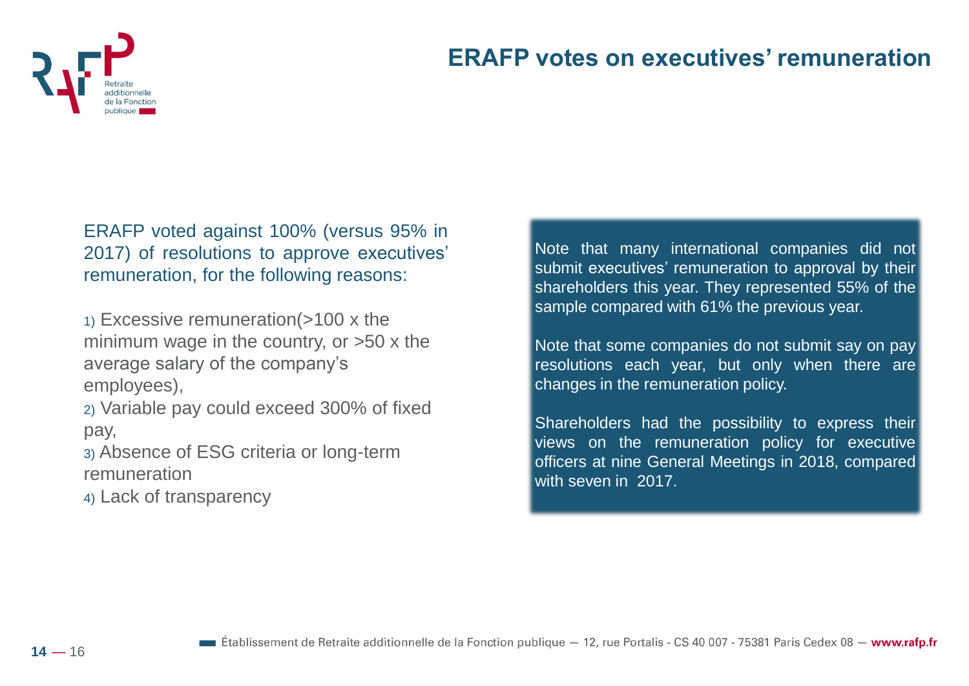

#### **ERAFP votes on executives' remuneration**

ERAFP voted against 100% (versus 95% in 2017) of resolutions to approve executives' remuneration, for the following reasons:

1) Excessive remuneration(>100 x the minimum wage in the country, or >50 x the average salary of the company's employees),

2) Variable pay could exceed 300% of fixed pay,

3) Absence of ESG criteria or long-term remuneration

4) Lack of transparency

Note that many international companies did not submit executives' remuneration to approval by their shareholders this year. They represented 55% of the sample compared with 61% the previous year.

Note that some companies do not submit say on pay resolutions each year, but only when there are changes in the remuneration policy.

Shareholders had the possibility to express their views on the remuneration policy for executive officers at nine General Meetings in 2018, compared with seven in 2017.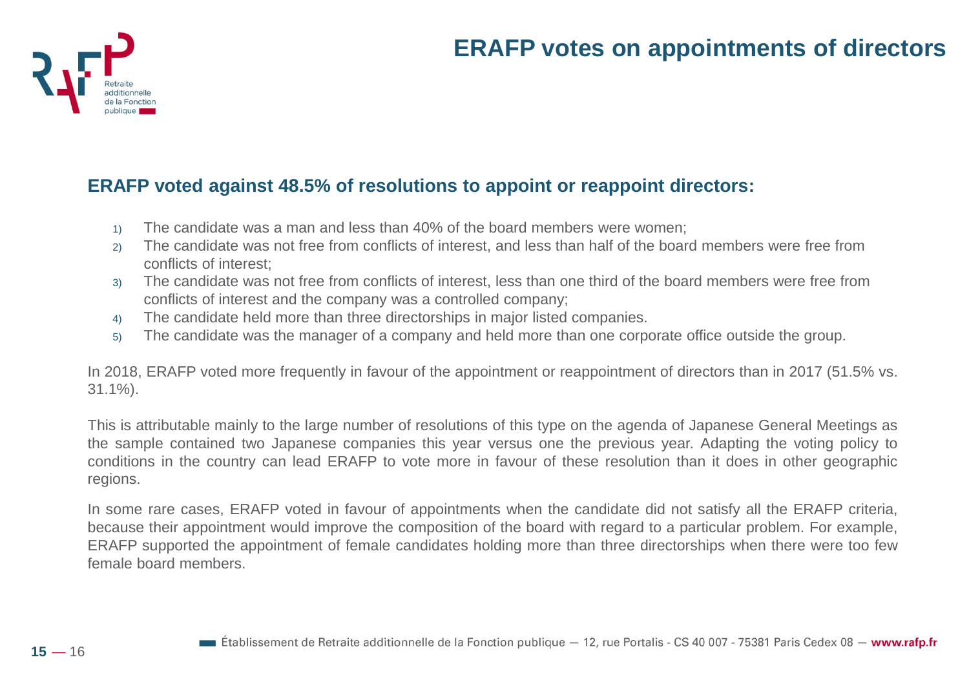#### **ERAFP votes on appointments of directors**



#### **ERAFP voted against 48.5% of resolutions to appoint or reappoint directors:**

- 1) The candidate was a man and less than 40% of the board members were women;
- 2) The candidate was not free from conflicts of interest, and less than half of the board members were free from conflicts of interest;
- 3) The candidate was not free from conflicts of interest, less than one third of the board members were free from conflicts of interest and the company was a controlled company;
- 4) The candidate held more than three directorships in major listed companies.
- 5) The candidate was the manager of a company and held more than one corporate office outside the group.

In 2018, ERAFP voted more frequently in favour of the appointment or reappointment of directors than in 2017 (51.5% vs. 31.1%).

This is attributable mainly to the large number of resolutions of this type on the agenda of Japanese General Meetings as the sample contained two Japanese companies this year versus one the previous year. Adapting the voting policy to conditions in the country can lead ERAFP to vote more in favour of these resolution than it does in other geographic regions.

In some rare cases, ERAFP voted in favour of appointments when the candidate did not satisfy all the ERAFP criteria, because their appointment would improve the composition of the board with regard to a particular problem. For example, ERAFP supported the appointment of female candidates holding more than three directorships when there were too few female board members.